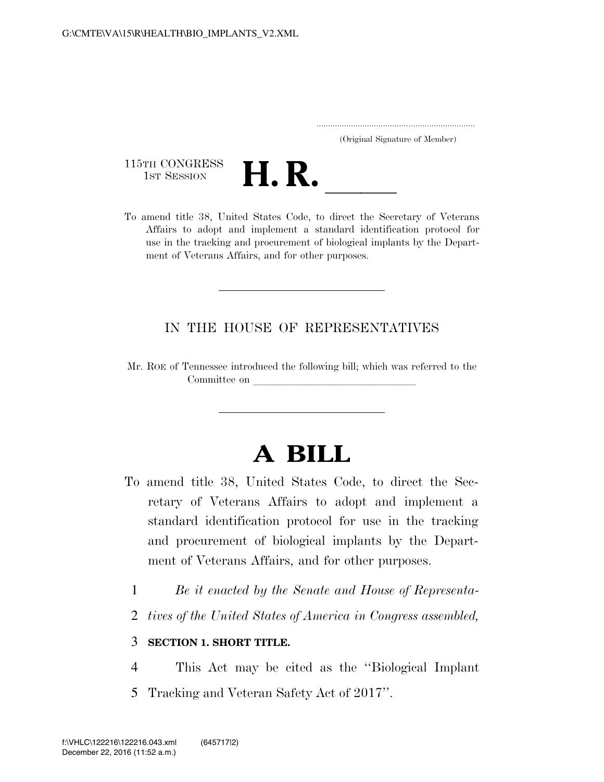|  | (Original Signature of Member) |  |
|--|--------------------------------|--|

115TH CONGRESS<br>1st Session



115TH CONGRESS<br>1st SESSION **H. R.** <u>Inited States Code</u>, to direct the Secretary of Veterans Affairs to adopt and implement a standard identification protocol for use in the tracking and procurement of biological implants by the Department of Veterans Affairs, and for other purposes.

### IN THE HOUSE OF REPRESENTATIVES

Mr. ROE of Tennessee introduced the following bill; which was referred to the Committee on

# **A BILL**

- To amend title 38, United States Code, to direct the Secretary of Veterans Affairs to adopt and implement a standard identification protocol for use in the tracking and procurement of biological implants by the Department of Veterans Affairs, and for other purposes.
	- 1 *Be it enacted by the Senate and House of Representa-*
	- 2 *tives of the United States of America in Congress assembled,*

#### 3 **SECTION 1. SHORT TITLE.**

4 This Act may be cited as the ''Biological Implant 5 Tracking and Veteran Safety Act of 2017''.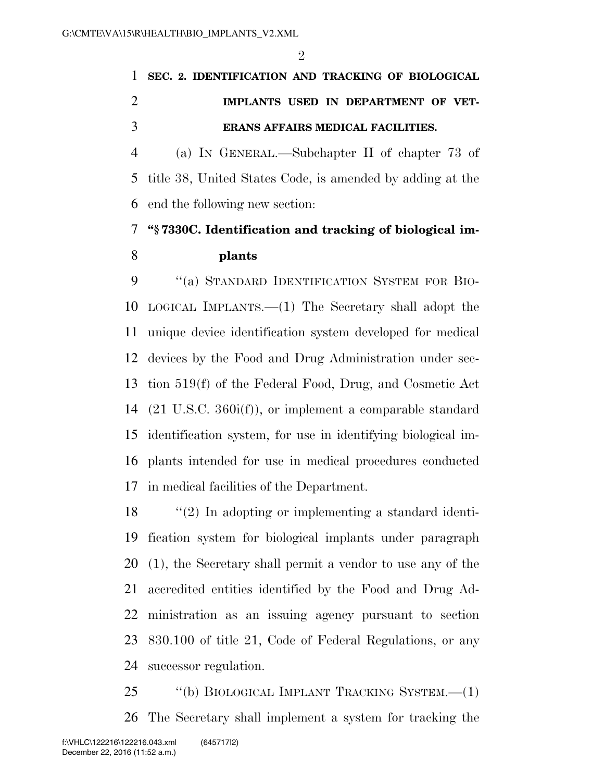$\mathfrak{D}$ 

## **SEC. 2. IDENTIFICATION AND TRACKING OF BIOLOGICAL IMPLANTS USED IN DEPARTMENT OF VET-ERANS AFFAIRS MEDICAL FACILITIES.**

 (a) IN GENERAL.—Subchapter II of chapter 73 of title 38, United States Code, is amended by adding at the end the following new section:

### **''§ 7330C. Identification and tracking of biological im-plants**

 ''(a) STANDARD IDENTIFICATION SYSTEM FOR BIO- LOGICAL IMPLANTS.—(1) The Secretary shall adopt the unique device identification system developed for medical devices by the Food and Drug Administration under sec- tion 519(f) of the Federal Food, Drug, and Cosmetic Act (21 U.S.C. 360i(f)), or implement a comparable standard identification system, for use in identifying biological im- plants intended for use in medical procedures conducted in medical facilities of the Department.

 ''(2) In adopting or implementing a standard identi- fication system for biological implants under paragraph (1), the Secretary shall permit a vendor to use any of the accredited entities identified by the Food and Drug Ad- ministration as an issuing agency pursuant to section 830.100 of title 21, Code of Federal Regulations, or any successor regulation.

 ''(b) BIOLOGICAL IMPLANT TRACKING SYSTEM.—(1) The Secretary shall implement a system for tracking the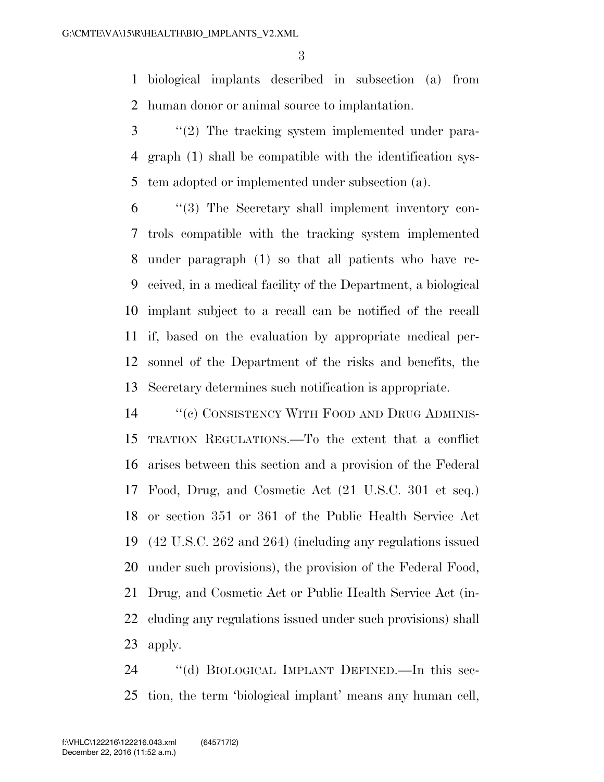biological implants described in subsection (a) from human donor or animal source to implantation.

- ''(2) The tracking system implemented under para- graph (1) shall be compatible with the identification sys-tem adopted or implemented under subsection (a).
- ''(3) The Secretary shall implement inventory con- trols compatible with the tracking system implemented under paragraph (1) so that all patients who have re- ceived, in a medical facility of the Department, a biological implant subject to a recall can be notified of the recall if, based on the evaluation by appropriate medical per- sonnel of the Department of the risks and benefits, the Secretary determines such notification is appropriate.
- 14 "(c) CONSISTENCY WITH FOOD AND DRUG ADMINIS- TRATION REGULATIONS.—To the extent that a conflict arises between this section and a provision of the Federal Food, Drug, and Cosmetic Act (21 U.S.C. 301 et seq.) or section 351 or 361 of the Public Health Service Act (42 U.S.C. 262 and 264) (including any regulations issued under such provisions), the provision of the Federal Food, Drug, and Cosmetic Act or Public Health Service Act (in- cluding any regulations issued under such provisions) shall apply.

 ''(d) BIOLOGICAL IMPLANT DEFINED.—In this sec-tion, the term 'biological implant' means any human cell,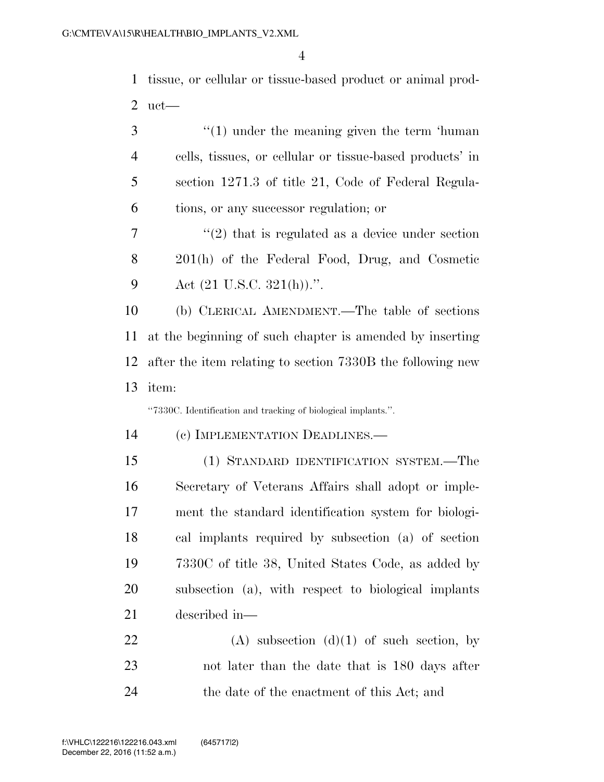tissue, or cellular or tissue-based product or animal prod-uct—

| 3              | $\cdot\cdot(1)$ under the meaning given the term 'human'      |
|----------------|---------------------------------------------------------------|
| $\overline{4}$ | cells, tissues, or cellular or tissue-based products' in      |
| 5              | section 1271.3 of title 21, Code of Federal Regula-           |
| 6              | tions, or any successor regulation; or                        |
| 7              | $\lq(2)$ that is regulated as a device under section          |
| 8              | 201(h) of the Federal Food, Drug, and Cosmetic                |
| 9              | Act $(21 \text{ U.S.C. } 321(h))$ .".                         |
| 10             | (b) CLERICAL AMENDMENT.—The table of sections                 |
| 11             | at the beginning of such chapter is amended by inserting      |
| 12             | after the item relating to section 7330B the following new    |
| 13             | item:                                                         |
|                | "7330C. Identification and tracking of biological implants.". |
| 14             | (c) IMPLEMENTATION DEADLINES.—                                |
| 15             | (1) STANDARD IDENTIFICATION SYSTEM.—The                       |
| 16             | Secretary of Veterans Affairs shall adopt or imple-           |
| 17             | ment the standard identification system for biologi-          |
| 18             | cal implants required by subsection (a) of section            |
| 19             | 7330C of title 38, United States Code, as added by            |
| 20             | subsection (a), with respect to biological implants           |

described in—

22  $(A)$  subsection  $(d)(1)$  of such section, by not later than the date that is 180 days after the date of the enactment of this Act; and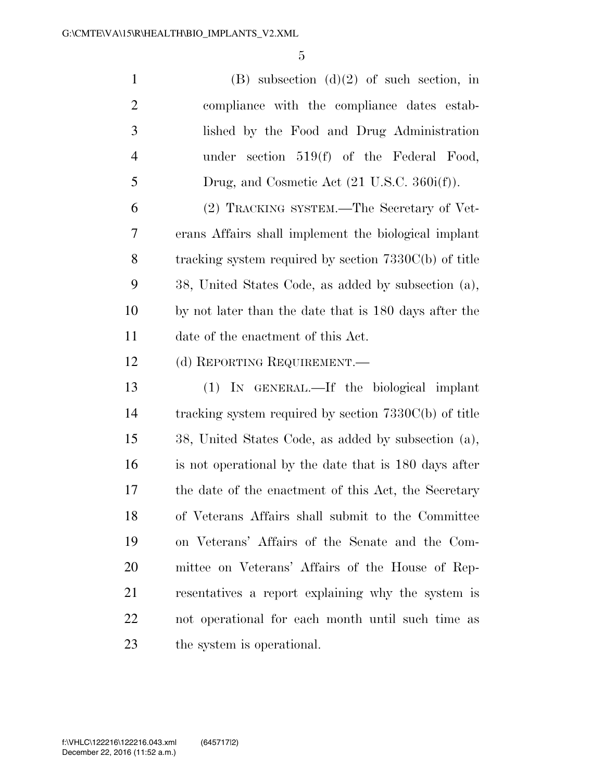1 (B) subsection  $(d)(2)$  of such section, in compliance with the compliance dates estab- lished by the Food and Drug Administration under section 519(f) of the Federal Food, 5 Drug, and Cosmetic Act (21 U.S.C. 360i(f)). (2) TRACKING SYSTEM.—The Secretary of Vet- erans Affairs shall implement the biological implant tracking system required by section 7330C(b) of title 38, United States Code, as added by subsection (a), by not later than the date that is 180 days after the

date of the enactment of this Act.

12 (d) REPORTING REQUIREMENT.

 (1) IN GENERAL.—If the biological implant tracking system required by section 7330C(b) of title 38, United States Code, as added by subsection (a), is not operational by the date that is 180 days after the date of the enactment of this Act, the Secretary of Veterans Affairs shall submit to the Committee on Veterans' Affairs of the Senate and the Com- mittee on Veterans' Affairs of the House of Rep- resentatives a report explaining why the system is not operational for each month until such time as the system is operational.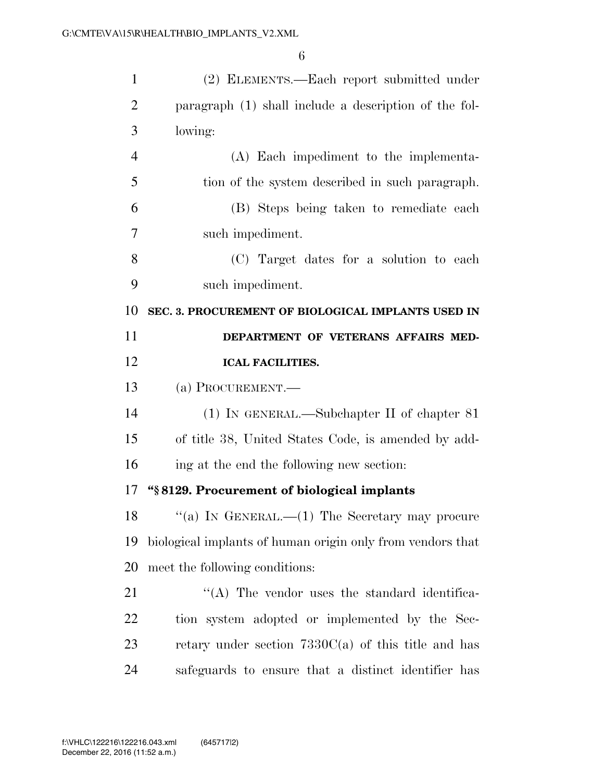| $\mathbf{1}$   | (2) ELEMENTS.—Each report submitted under                  |
|----------------|------------------------------------------------------------|
| $\overline{2}$ | paragraph (1) shall include a description of the fol-      |
| 3              | lowing:                                                    |
| $\overline{4}$ | (A) Each impediment to the implementa-                     |
| 5              | tion of the system described in such paragraph.            |
| 6              | (B) Steps being taken to remediate each                    |
| 7              | such impediment.                                           |
| 8              | (C) Target dates for a solution to each                    |
| 9              | such impediment.                                           |
| 10             | SEC. 3. PROCUREMENT OF BIOLOGICAL IMPLANTS USED IN         |
| 11             | DEPARTMENT OF VETERANS AFFAIRS MED-                        |
| 12             | <b>ICAL FACILITIES.</b>                                    |
| 13             | (a) PROCUREMENT.                                           |
| 14             | $(1)$ In GENERAL.—Subchapter II of chapter 81              |
| 15             | of title 38, United States Code, is amended by add-        |
| 16             | ing at the end the following new section:                  |
| 17             |                                                            |
|                | "§8129. Procurement of biological implants                 |
| 18             | "(a) IN GENERAL.— $(1)$ The Secretary may procure          |
| 19             | biological implants of human origin only from vendors that |
| 20             | meet the following conditions:                             |
| 21             | "(A) The vendor uses the standard identifica-              |
| 22             | tion system adopted or implemented by the Sec-             |
| 23             | retary under section $7330C(a)$ of this title and has      |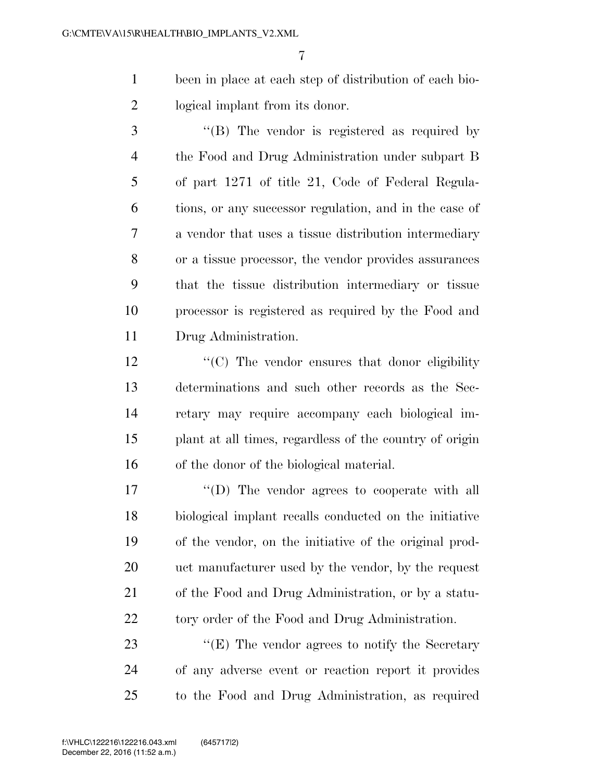been in place at each step of distribution of each bio-logical implant from its donor.

3 "(B) The vendor is registered as required by the Food and Drug Administration under subpart B of part 1271 of title 21, Code of Federal Regula- tions, or any successor regulation, and in the case of a vendor that uses a tissue distribution intermediary or a tissue processor, the vendor provides assurances that the tissue distribution intermediary or tissue processor is registered as required by the Food and Drug Administration.

12 ''(C) The vendor ensures that donor eligibility determinations and such other records as the Sec- retary may require accompany each biological im- plant at all times, regardless of the country of origin of the donor of the biological material.

 $\langle \text{``(D)} \rangle$  The vendor agrees to cooperate with all biological implant recalls conducted on the initiative of the vendor, on the initiative of the original prod- uct manufacturer used by the vendor, by the request of the Food and Drug Administration, or by a statu-22 tory order of the Food and Drug Administration.

23 ''(E) The vendor agrees to notify the Secretary of any adverse event or reaction report it provides to the Food and Drug Administration, as required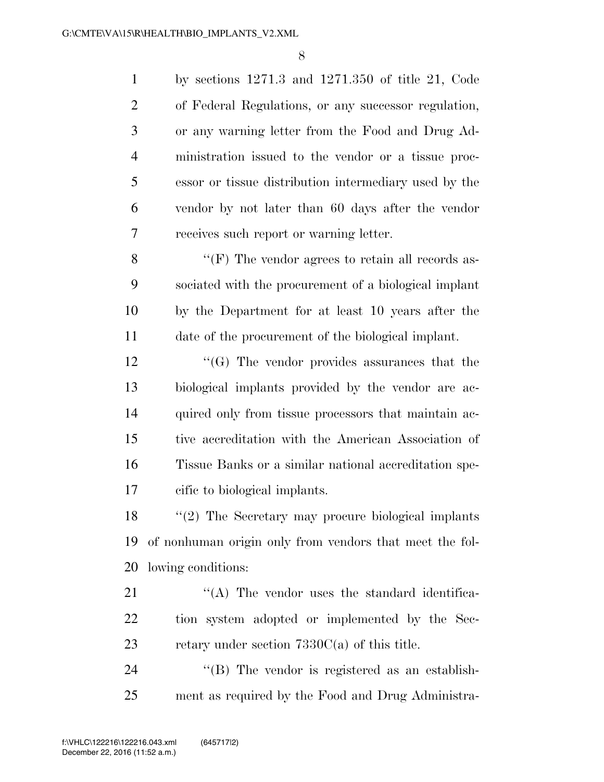by sections 1271.3 and 1271.350 of title 21, Code of Federal Regulations, or any successor regulation, or any warning letter from the Food and Drug Ad- ministration issued to the vendor or a tissue proc- essor or tissue distribution intermediary used by the vendor by not later than 60 days after the vendor receives such report or warning letter. 8 ''(F) The vendor agrees to retain all records as- sociated with the procurement of a biological implant by the Department for at least 10 years after the date of the procurement of the biological implant. 12 ''(G) The vendor provides assurances that the biological implants provided by the vendor are ac-14 quired only from tissue processors that maintain ac- tive accreditation with the American Association of Tissue Banks or a similar national accreditation spe-cific to biological implants.

 ''(2) The Secretary may procure biological implants of nonhuman origin only from vendors that meet the fol-lowing conditions:

21 ''(A) The vendor uses the standard identifica- tion system adopted or implemented by the Sec-23 retary under section  $7330C(a)$  of this title.

24 "(B) The vendor is registered as an establish-ment as required by the Food and Drug Administra-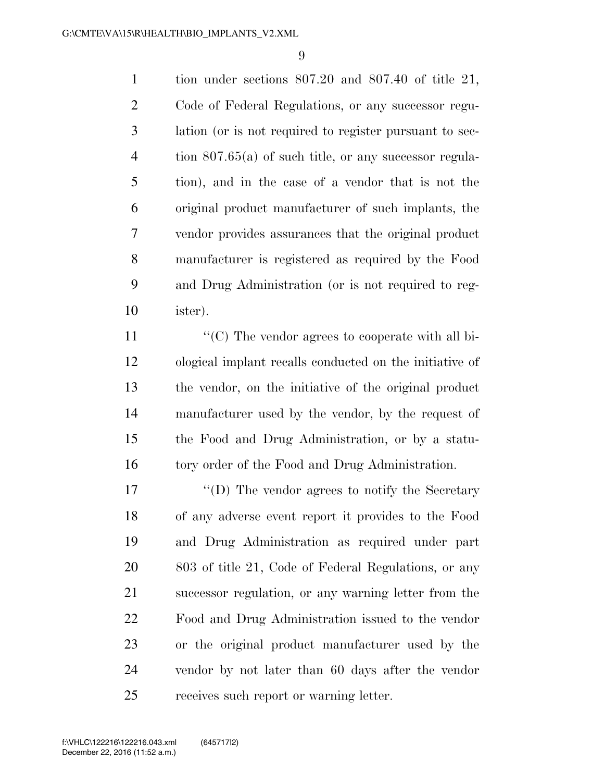tion under sections 807.20 and 807.40 of title 21, Code of Federal Regulations, or any successor regu- lation (or is not required to register pursuant to sec- tion 807.65(a) of such title, or any successor regula- tion), and in the case of a vendor that is not the original product manufacturer of such implants, the vendor provides assurances that the original product manufacturer is registered as required by the Food and Drug Administration (or is not required to reg-ister).

 $\langle ^{\prime}(C) \rangle$  The vendor agrees to cooperate with all bi- ological implant recalls conducted on the initiative of the vendor, on the initiative of the original product manufacturer used by the vendor, by the request of the Food and Drug Administration, or by a statu-16 tory order of the Food and Drug Administration.

17 ''(D) The vendor agrees to notify the Secretary of any adverse event report it provides to the Food and Drug Administration as required under part 803 of title 21, Code of Federal Regulations, or any successor regulation, or any warning letter from the Food and Drug Administration issued to the vendor or the original product manufacturer used by the vendor by not later than 60 days after the vendor receives such report or warning letter.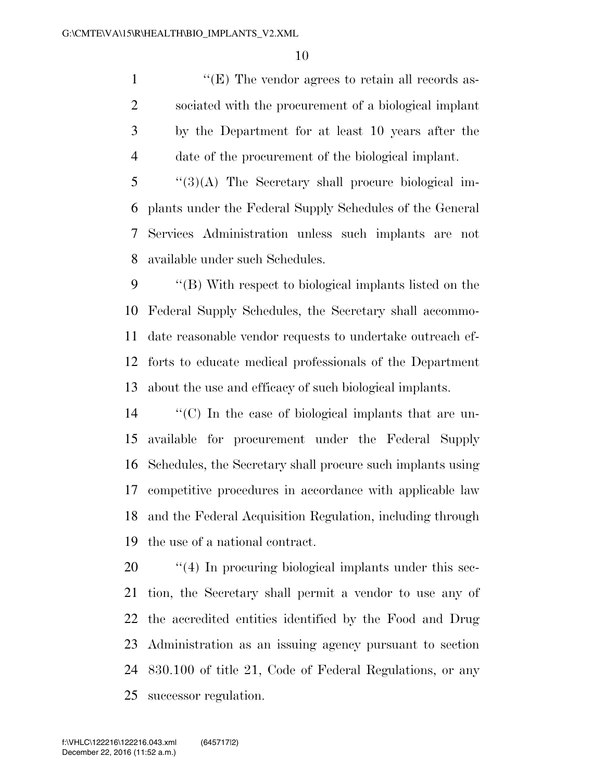$\langle (E)$  The vendor agrees to retain all records as- sociated with the procurement of a biological implant by the Department for at least 10 years after the date of the procurement of the biological implant.

 ''(3)(A) The Secretary shall procure biological im- plants under the Federal Supply Schedules of the General Services Administration unless such implants are not available under such Schedules.

 ''(B) With respect to biological implants listed on the Federal Supply Schedules, the Secretary shall accommo- date reasonable vendor requests to undertake outreach ef- forts to educate medical professionals of the Department about the use and efficacy of such biological implants.

 ''(C) In the case of biological implants that are un- available for procurement under the Federal Supply Schedules, the Secretary shall procure such implants using competitive procedures in accordance with applicable law and the Federal Acquisition Regulation, including through the use of a national contract.

 $\frac{1}{20}$  (4) In procuring biological implants under this sec- tion, the Secretary shall permit a vendor to use any of the accredited entities identified by the Food and Drug Administration as an issuing agency pursuant to section 830.100 of title 21, Code of Federal Regulations, or any successor regulation.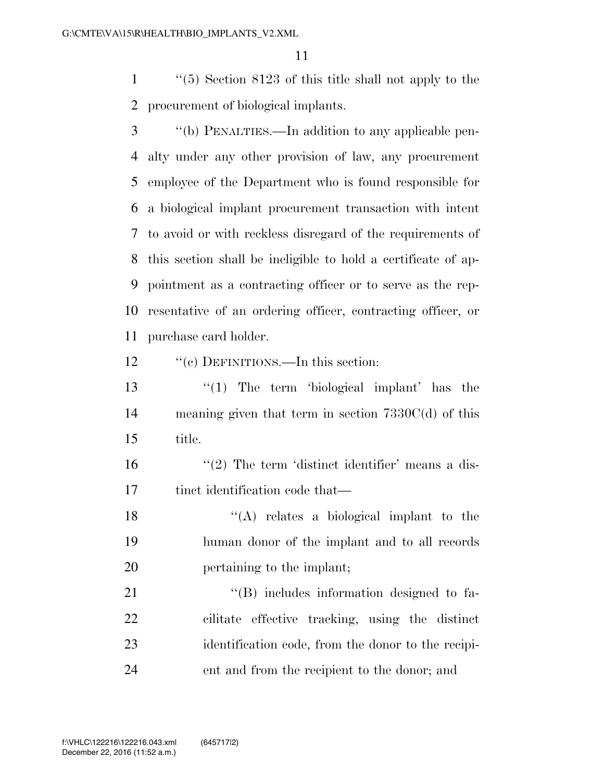''(5) Section 8123 of this title shall not apply to the procurement of biological implants.

- ''(b) PENALTIES.—In addition to any applicable pen- alty under any other provision of law, any procurement employee of the Department who is found responsible for a biological implant procurement transaction with intent to avoid or with reckless disregard of the requirements of this section shall be ineligible to hold a certificate of ap- pointment as a contracting officer or to serve as the rep- resentative of an ordering officer, contracting officer, or purchase card holder.
- 12 "'(c) DEFINITIONS.—In this section:
- ''(1) The term 'biological implant' has the meaning given that term in section 7330C(d) of this title.

 $\frac{16}{2}$  The term 'distinct identifier' means a dis-17 tinct identification code that—

18  $\langle (A) \rangle$  relates a biological implant to the human donor of the implant and to all records pertaining to the implant;

 $\langle (B) \rangle$  includes information designed to fa- cilitate effective tracking, using the distinct identification code, from the donor to the recipi-ent and from the recipient to the donor; and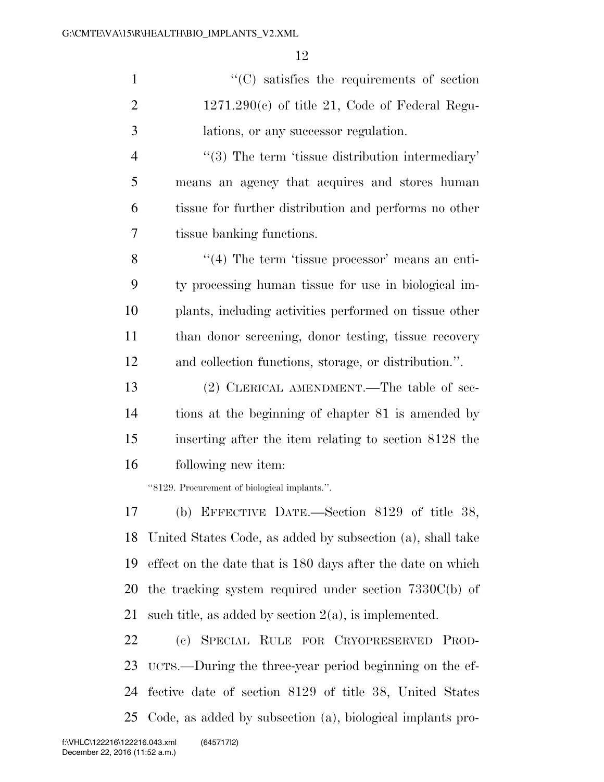$\cdot$  (C) satisfies the requirements of section  $2 \qquad 1271.290(c)$  of title 21, Code of Federal Regu- lations, or any successor regulation.  $\frac{4}{3}$  The term 'tissue distribution intermediary' means an agency that acquires and stores human tissue for further distribution and performs no other tissue banking functions. 8 ''(4) The term 'tissue processor' means an enti-

 ty processing human tissue for use in biological im- plants, including activities performed on tissue other than donor screening, donor testing, tissue recovery and collection functions, storage, or distribution.''.

 (2) CLERICAL AMENDMENT.—The table of sec- tions at the beginning of chapter 81 is amended by inserting after the item relating to section 8128 the following new item:

''8129. Procurement of biological implants.''.

 (b) EFFECTIVE DATE.—Section 8129 of title 38, United States Code, as added by subsection (a), shall take effect on the date that is 180 days after the date on which the tracking system required under section 7330C(b) of such title, as added by section 2(a), is implemented.

 (c) SPECIAL RULE FOR CRYOPRESERVED PROD- UCTS.—During the three-year period beginning on the ef- fective date of section 8129 of title 38, United States Code, as added by subsection (a), biological implants pro